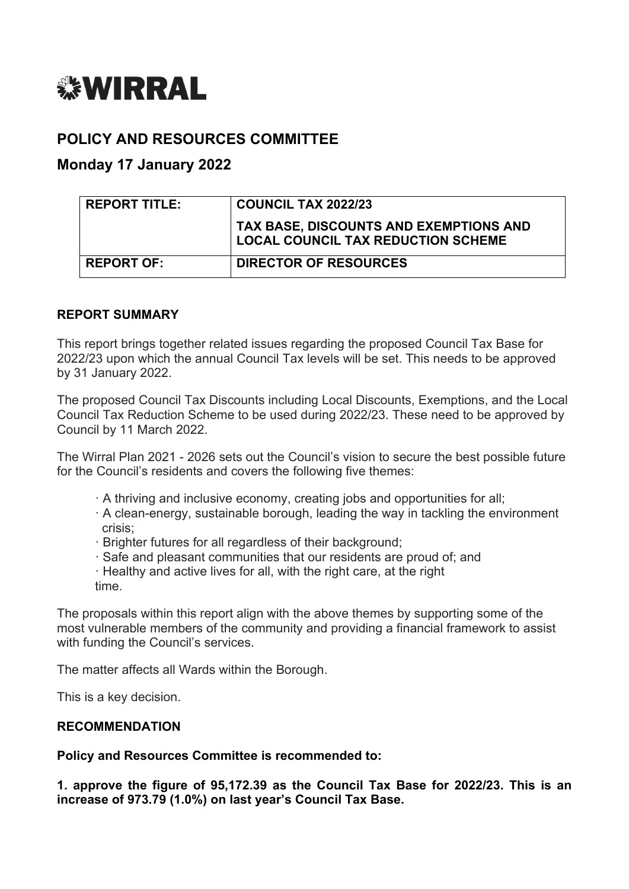

# **POLICY AND RESOURCES COMMITTEE**

## **Monday 17 January 2022**

| <b>REPORT TITLE:</b> | <b>COUNCIL TAX 2022/23</b>                                                          |
|----------------------|-------------------------------------------------------------------------------------|
|                      | TAX BASE, DISCOUNTS AND EXEMPTIONS AND<br><b>LOCAL COUNCIL TAX REDUCTION SCHEME</b> |
| <b>REPORT OF:</b>    | <b>DIRECTOR OF RESOURCES</b>                                                        |

### **REPORT SUMMARY**

This report brings together related issues regarding the proposed Council Tax Base for 2022/23 upon which the annual Council Tax levels will be set. This needs to be approved by 31 January 2022.

The proposed Council Tax Discounts including Local Discounts, Exemptions, and the Local Council Tax Reduction Scheme to be used during 2022/23. These need to be approved by Council by 11 March 2022.

The Wirral Plan 2021 - 2026 sets out the Council's vision to secure the best possible future for the Council's residents and covers the following five themes:

- · A thriving and inclusive economy, creating jobs and opportunities for all;
- · A clean-energy, sustainable borough, leading the way in tackling the environment crisis;
- · Brighter futures for all regardless of their background;
- · Safe and pleasant communities that our residents are proud of; and
- · Healthy and active lives for all, with the right care, at the right time.

The proposals within this report align with the above themes by supporting some of the most vulnerable members of the community and providing a financial framework to assist with funding the Council's services.

The matter affects all Wards within the Borough.

This is a key decision.

#### **RECOMMENDATION**

**Policy and Resources Committee is recommended to:**

**1. approve the figure of 95,172.39 as the Council Tax Base for 2022/23. This is an increase of 973.79 (1.0%) on last year's Council Tax Base.**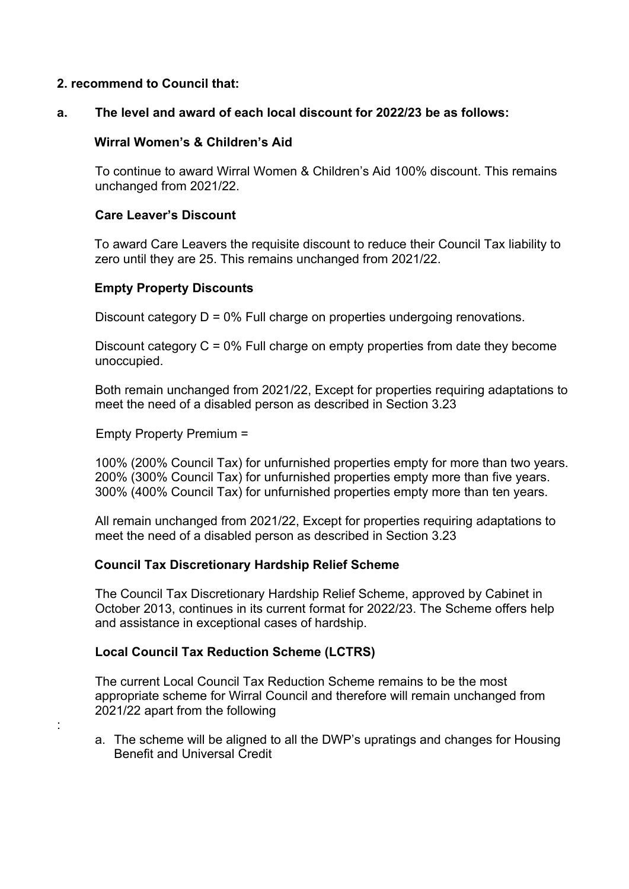#### **2. recommend to Council that:**

### **a. The level and award of each local discount for 2022/23 be as follows:**

### **Wirral Women's & Children's Aid**

To continue to award Wirral Women & Children's Aid 100% discount. This remains unchanged from 2021/22.

### **Care Leaver's Discount**

To award Care Leavers the requisite discount to reduce their Council Tax liability to zero until they are 25. This remains unchanged from 2021/22.

### **Empty Property Discounts**

Discount category D = 0% Full charge on properties undergoing renovations.

Discount category C = 0% Full charge on empty properties from date they become unoccupied.

Both remain unchanged from 2021/22, Except for properties requiring adaptations to meet the need of a disabled person as described in Section 3.23

Empty Property Premium =

:

100% (200% Council Tax) for unfurnished properties empty for more than two years. 200% (300% Council Tax) for unfurnished properties empty more than five years. 300% (400% Council Tax) for unfurnished properties empty more than ten years.

All remain unchanged from 2021/22, Except for properties requiring adaptations to meet the need of a disabled person as described in Section 3.23

#### **Council Tax Discretionary Hardship Relief Scheme**

The Council Tax Discretionary Hardship Relief Scheme, approved by Cabinet in October 2013, continues in its current format for 2022/23. The Scheme offers help and assistance in exceptional cases of hardship.

#### **Local Council Tax Reduction Scheme (LCTRS)**

The current Local Council Tax Reduction Scheme remains to be the most appropriate scheme for Wirral Council and therefore will remain unchanged from 2021/22 apart from the following

a. The scheme will be aligned to all the DWP's upratings and changes for Housing Benefit and Universal Credit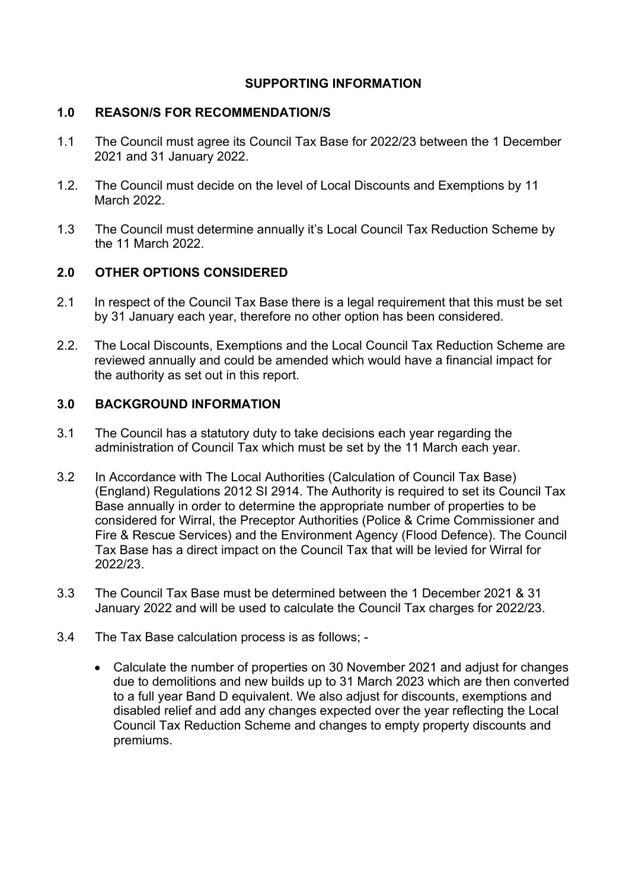### **SUPPORTING INFORMATION**

## **1.0 REASON/S FOR RECOMMENDATION/S**

- 1.1 The Council must agree its Council Tax Base for 2022/23 between the 1 December 2021 and 31 January 2022.
- 1.2. The Council must decide on the level of Local Discounts and Exemptions by 11 March 2022.
- 1.3 The Council must determine annually it's Local Council Tax Reduction Scheme by the 11 March 2022.

# **2.0 OTHER OPTIONS CONSIDERED**

- 2.1 In respect of the Council Tax Base there is a legal requirement that this must be set by 31 January each year, therefore no other option has been considered.
- 2.2. The Local Discounts, Exemptions and the Local Council Tax Reduction Scheme are reviewed annually and could be amended which would have a financial impact for the authority as set out in this report.

# **3.0 BACKGROUND INFORMATION**

- 3.1 The Council has a statutory duty to take decisions each year regarding the administration of Council Tax which must be set by the 11 March each year.
- 3.2 In Accordance with The Local Authorities (Calculation of Council Tax Base) (England) Regulations 2012 SI 2914. The Authority is required to set its Council Tax Base annually in order to determine the appropriate number of properties to be considered for Wirral, the Preceptor Authorities (Police & Crime Commissioner and Fire & Rescue Services) and the Environment Agency (Flood Defence). The Council Tax Base has a direct impact on the Council Tax that will be levied for Wirral for 2022/23.
- 3.3 The Council Tax Base must be determined between the 1 December 2021 & 31 January 2022 and will be used to calculate the Council Tax charges for 2022/23.
- 3.4 The Tax Base calculation process is as follows;
	- Calculate the number of properties on 30 November 2021 and adjust for changes due to demolitions and new builds up to 31 March 2023 which are then converted to a full year Band D equivalent. We also adjust for discounts, exemptions and disabled relief and add any changes expected over the year reflecting the Local Council Tax Reduction Scheme and changes to empty property discounts and premiums.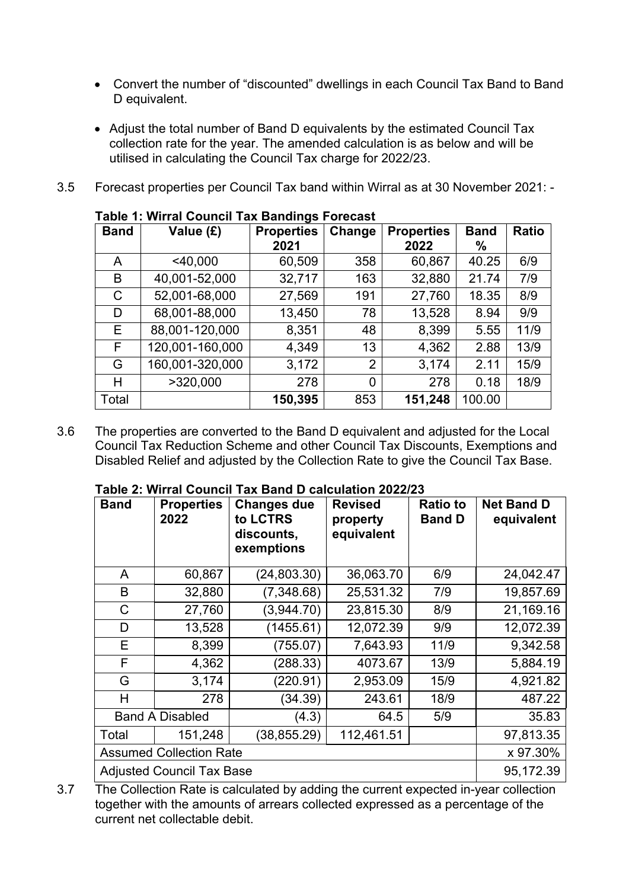- Convert the number of "discounted" dwellings in each Council Tax Band to Band D equivalent.
- Adjust the total number of Band D equivalents by the estimated Council Tax collection rate for the year. The amended calculation is as below and will be utilised in calculating the Council Tax charge for 2022/23.
- 3.5 Forecast properties per Council Tax band within Wirral as at 30 November 2021: -

| rabie I. William Obunch Tax Danungs I Orecast |                 |                   |                |                   |             |              |
|-----------------------------------------------|-----------------|-------------------|----------------|-------------------|-------------|--------------|
| <b>Band</b>                                   | Value (£)       | <b>Properties</b> | Change         | <b>Properties</b> | <b>Band</b> | <b>Ratio</b> |
|                                               |                 | 2021              |                | 2022              | ℅           |              |
| A                                             | $<$ 40,000      | 60,509            | 358            | 60,867            | 40.25       | 6/9          |
| B                                             | 40,001-52,000   | 32,717            | 163            | 32,880            | 21.74       | 7/9          |
| C                                             | 52,001-68,000   | 27,569            | 191            | 27,760            | 18.35       | 8/9          |
| D                                             | 68,001-88,000   | 13,450            | 78             | 13,528            | 8.94        | 9/9          |
| E.                                            | 88,001-120,000  | 8,351             | 48             | 8,399             | 5.55        | 11/9         |
| F                                             | 120,001-160,000 | 4,349             | 13             | 4,362             | 2.88        | 13/9         |
| G                                             | 160,001-320,000 | 3,172             | $\overline{2}$ | 3,174             | 2.11        | 15/9         |
| н                                             | >320,000        | 278               | 0              | 278               | 0.18        | 18/9         |
| Total                                         |                 | 150,395           | 853            | 151,248           | 100.00      |              |

## **Table 1: Wirral Council Tax Bandings Forecast**

3.6 The properties are converted to the Band D equivalent and adjusted for the Local Council Tax Reduction Scheme and other Council Tax Discounts, Exemptions and Disabled Relief and adjusted by the Collection Rate to give the Council Tax Base.

| <b>Band</b>                      | <b>Properties</b><br>2022 | <b>Changes due</b><br>to LCTRS<br>discounts,<br>exemptions | <b>Revised</b><br>property<br>equivalent | <b>Ratio to</b><br><b>Band D</b> | <b>Net Band D</b><br>equivalent |
|----------------------------------|---------------------------|------------------------------------------------------------|------------------------------------------|----------------------------------|---------------------------------|
| A                                | 60,867                    | (24, 803.30)                                               | 36,063.70                                | 6/9                              | 24,042.47                       |
| B                                | 32,880                    | (7,348.68)                                                 | 25,531.32                                | 7/9                              | 19,857.69                       |
| C                                | 27,760                    | (3,944.70)                                                 | 23,815.30                                | 8/9                              | 21,169.16                       |
| D                                | 13,528                    | (1455.61)                                                  | 12,072.39                                | 9/9                              | 12,072.39                       |
| Е                                | 8,399                     | (755.07)                                                   | 7,643.93                                 | 11/9                             | 9,342.58                        |
| F                                | 4,362                     | (288.33)                                                   | 4073.67                                  | 13/9                             | 5,884.19                        |
| G                                | 3,174                     | (220.91)                                                   | 2,953.09                                 | 15/9                             | 4,921.82                        |
| H                                | 278                       | (34.39)                                                    | 243.61                                   | 18/9                             | 487.22                          |
|                                  | <b>Band A Disabled</b>    | (4.3)                                                      | 64.5                                     | 5/9                              | 35.83                           |
| Total                            | 151,248                   | (38, 855.29)                                               | 112,461.51                               |                                  | 97,813.35                       |
| <b>Assumed Collection Rate</b>   |                           |                                                            |                                          | x 97.30%                         |                                 |
| <b>Adjusted Council Tax Base</b> |                           |                                                            |                                          | 95,172.39                        |                                 |

#### **Table 2: Wirral Council Tax Band D calculation 2022/23**

3.7 The Collection Rate is calculated by adding the current expected in-year collection together with the amounts of arrears collected expressed as a percentage of the current net collectable debit.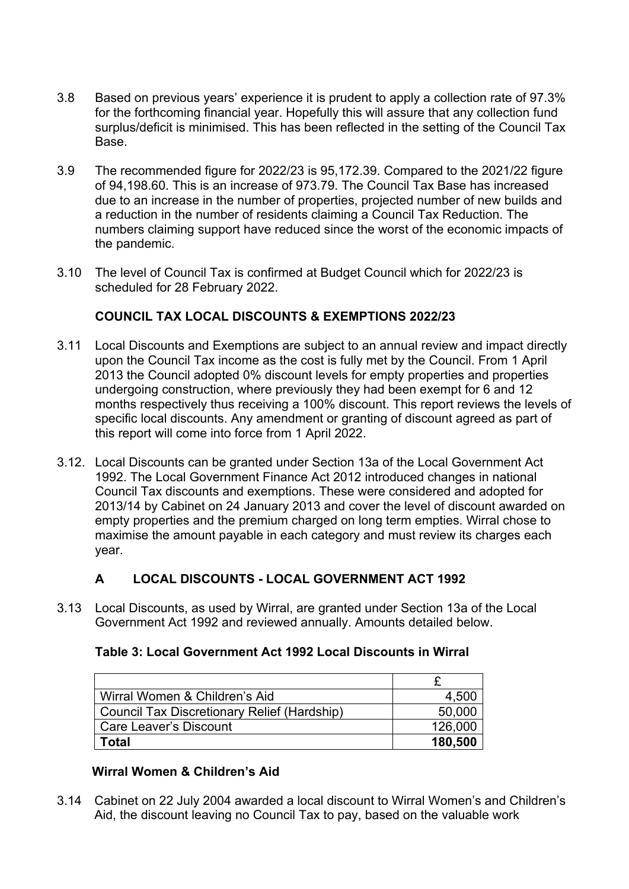- 3.8 Based on previous years' experience it is prudent to apply a collection rate of 97.3% for the forthcoming financial year. Hopefully this will assure that any collection fund surplus/deficit is minimised. This has been reflected in the setting of the Council Tax Base.
- 3.9 The recommended figure for 2022/23 is 95,172.39. Compared to the 2021/22 figure of 94,198.60. This is an increase of 973.79. The Council Tax Base has increased due to an increase in the number of properties, projected number of new builds and a reduction in the number of residents claiming a Council Tax Reduction. The numbers claiming support have reduced since the worst of the economic impacts of the pandemic.
- 3.10 The level of Council Tax is confirmed at Budget Council which for 2022/23 is scheduled for 28 February 2022.

## **COUNCIL TAX LOCAL DISCOUNTS & EXEMPTIONS 2022/23**

- 3.11 Local Discounts and Exemptions are subject to an annual review and impact directly upon the Council Tax income as the cost is fully met by the Council. From 1 April 2013 the Council adopted 0% discount levels for empty properties and properties undergoing construction, where previously they had been exempt for 6 and 12 months respectively thus receiving a 100% discount. This report reviews the levels of specific local discounts. Any amendment or granting of discount agreed as part of this report will come into force from 1 April 2022.
- 3.12. Local Discounts can be granted under Section 13a of the Local Government Act 1992. The Local Government Finance Act 2012 introduced changes in national Council Tax discounts and exemptions. These were considered and adopted for 2013/14 by Cabinet on 24 January 2013 and cover the level of discount awarded on empty properties and the premium charged on long term empties. Wirral chose to maximise the amount payable in each category and must review its charges each year.

### **A LOCAL DISCOUNTS - LOCAL GOVERNMENT ACT 1992**

3.13 Local Discounts, as used by Wirral, are granted under Section 13a of the Local Government Act 1992 and reviewed annually. Amounts detailed below.

| Table 3: Local Government Act 1992 Local Discounts in Wirral |
|--------------------------------------------------------------|
|--------------------------------------------------------------|

| Wirral Women & Children's Aid               | 4,500   |
|---------------------------------------------|---------|
| Council Tax Discretionary Relief (Hardship) | 50,000  |
| Care Leaver's Discount                      | 126,000 |
| Total                                       | 180,500 |

### **Wirral Women & Children's Aid**

3.14 Cabinet on 22 July 2004 awarded a local discount to Wirral Women's and Children's Aid, the discount leaving no Council Tax to pay, based on the valuable work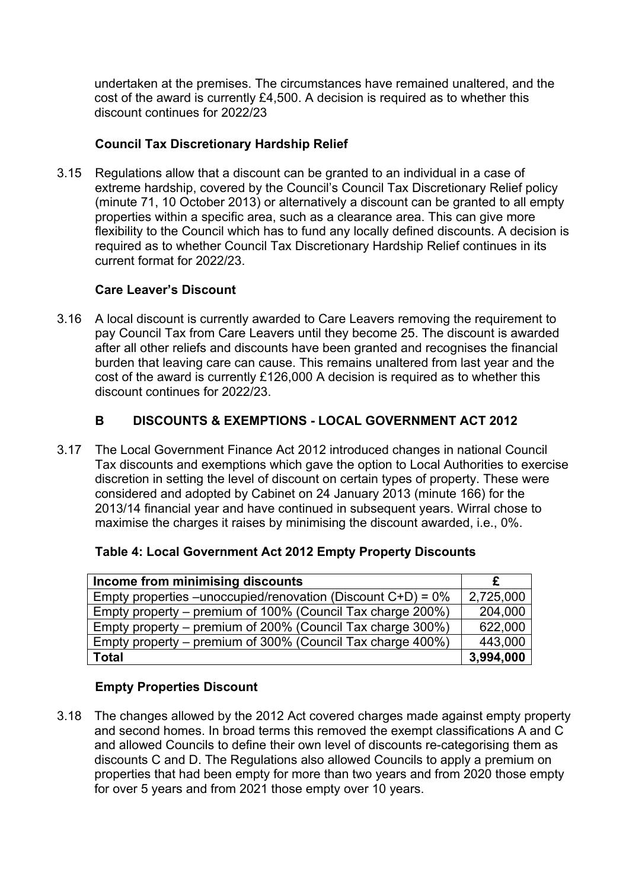undertaken at the premises. The circumstances have remained unaltered, and the cost of the award is currently £4,500. A decision is required as to whether this discount continues for 2022/23

### **Council Tax Discretionary Hardship Relief**

3.15 Regulations allow that a discount can be granted to an individual in a case of extreme hardship, covered by the Council's Council Tax Discretionary Relief policy (minute 71, 10 October 2013) or alternatively a discount can be granted to all empty properties within a specific area, such as a clearance area. This can give more flexibility to the Council which has to fund any locally defined discounts. A decision is required as to whether Council Tax Discretionary Hardship Relief continues in its current format for 2022/23.

### **Care Leaver's Discount**

3.16 A local discount is currently awarded to Care Leavers removing the requirement to pay Council Tax from Care Leavers until they become 25. The discount is awarded after all other reliefs and discounts have been granted and recognises the financial burden that leaving care can cause. This remains unaltered from last year and the cost of the award is currently £126,000 A decision is required as to whether this discount continues for 2022/23.

## **B DISCOUNTS & EXEMPTIONS - LOCAL GOVERNMENT ACT 2012**

3.17 The Local Government Finance Act 2012 introduced changes in national Council Tax discounts and exemptions which gave the option to Local Authorities to exercise discretion in setting the level of discount on certain types of property. These were considered and adopted by Cabinet on 24 January 2013 (minute 166) for the 2013/14 financial year and have continued in subsequent years. Wirral chose to maximise the charges it raises by minimising the discount awarded, i.e., 0%.

| Income from minimising discounts                                |           |
|-----------------------------------------------------------------|-----------|
| Empty properties – unoccupied/renovation (Discount $C+D$ ) = 0% | 2,725,000 |
| Empty property – premium of 100% (Council Tax charge 200%)      | 204,000   |
| Empty property – premium of 200% (Council Tax charge 300%)      | 622,000   |
| Empty property – premium of 300% (Council Tax charge 400%)      | 443,000   |
| <b>Total</b>                                                    | 3,994,000 |

### **Empty Properties Discount**

3.18 The changes allowed by the 2012 Act covered charges made against empty property and second homes. In broad terms this removed the exempt classifications A and C and allowed Councils to define their own level of discounts re-categorising them as discounts C and D. The Regulations also allowed Councils to apply a premium on properties that had been empty for more than two years and from 2020 those empty for over 5 years and from 2021 those empty over 10 years.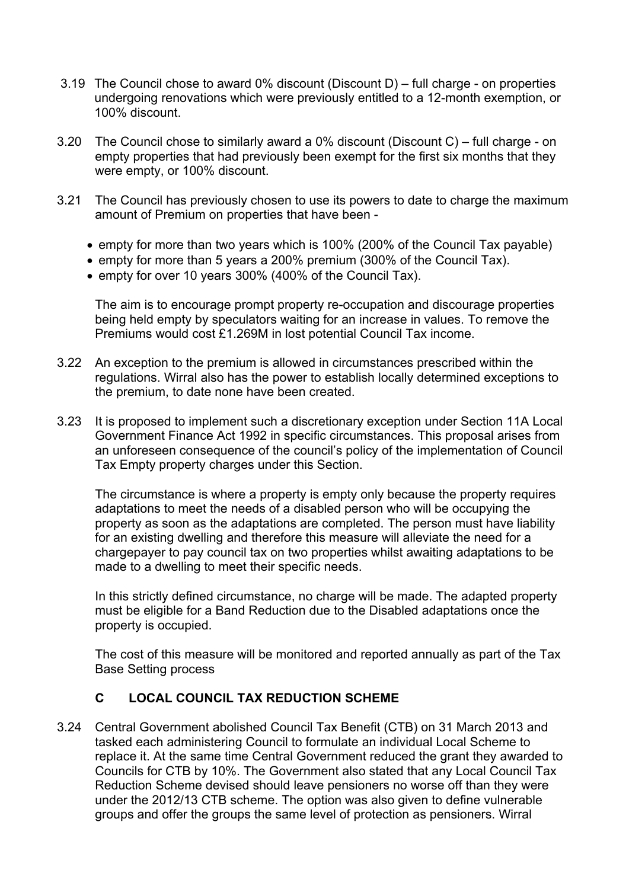- 3.19 The Council chose to award 0% discount (Discount D) full charge on properties undergoing renovations which were previously entitled to a 12-month exemption, or 100% discount.
- 3.20 The Council chose to similarly award a 0% discount (Discount C) full charge on empty properties that had previously been exempt for the first six months that they were empty, or 100% discount.
- 3.21 The Council has previously chosen to use its powers to date to charge the maximum amount of Premium on properties that have been -
	- empty for more than two years which is 100% (200% of the Council Tax payable)
	- empty for more than 5 years a 200% premium (300% of the Council Tax).
	- empty for over 10 years 300% (400% of the Council Tax).

The aim is to encourage prompt property re-occupation and discourage properties being held empty by speculators waiting for an increase in values. To remove the Premiums would cost £1.269M in lost potential Council Tax income.

- 3.22 An exception to the premium is allowed in circumstances prescribed within the regulations. Wirral also has the power to establish locally determined exceptions to the premium, to date none have been created.
- 3.23 It is proposed to implement such a discretionary exception under Section 11A Local Government Finance Act 1992 in specific circumstances. This proposal arises from an unforeseen consequence of the council's policy of the implementation of Council Tax Empty property charges under this Section.

The circumstance is where a property is empty only because the property requires adaptations to meet the needs of a disabled person who will be occupying the property as soon as the adaptations are completed. The person must have liability for an existing dwelling and therefore this measure will alleviate the need for a chargepayer to pay council tax on two properties whilst awaiting adaptations to be made to a dwelling to meet their specific needs.

In this strictly defined circumstance, no charge will be made. The adapted property must be eligible for a Band Reduction due to the Disabled adaptations once the property is occupied.

The cost of this measure will be monitored and reported annually as part of the Tax Base Setting process

#### **C LOCAL COUNCIL TAX REDUCTION SCHEME**

3.24 Central Government abolished Council Tax Benefit (CTB) on 31 March 2013 and tasked each administering Council to formulate an individual Local Scheme to replace it. At the same time Central Government reduced the grant they awarded to Councils for CTB by 10%. The Government also stated that any Local Council Tax Reduction Scheme devised should leave pensioners no worse off than they were under the 2012/13 CTB scheme. The option was also given to define vulnerable groups and offer the groups the same level of protection as pensioners. Wirral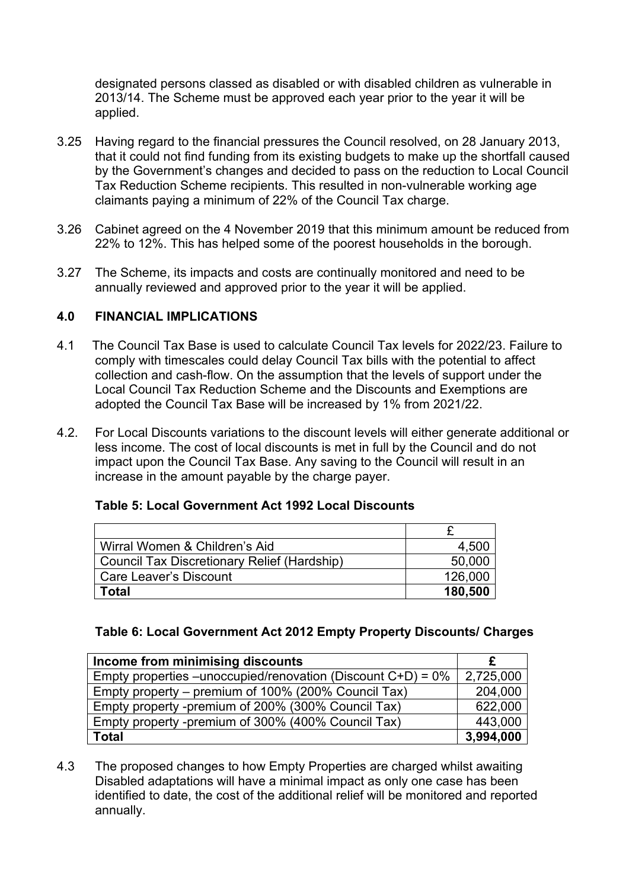designated persons classed as disabled or with disabled children as vulnerable in 2013/14. The Scheme must be approved each year prior to the year it will be applied.

- 3.25 Having regard to the financial pressures the Council resolved, on 28 January 2013, that it could not find funding from its existing budgets to make up the shortfall caused by the Government's changes and decided to pass on the reduction to Local Council Tax Reduction Scheme recipients. This resulted in non-vulnerable working age claimants paying a minimum of 22% of the Council Tax charge.
- 3.26 Cabinet agreed on the 4 November 2019 that this minimum amount be reduced from 22% to 12%. This has helped some of the poorest households in the borough.
- 3.27 The Scheme, its impacts and costs are continually monitored and need to be annually reviewed and approved prior to the year it will be applied.

### **4.0 FINANCIAL IMPLICATIONS**

- 4.1 The Council Tax Base is used to calculate Council Tax levels for 2022/23. Failure to comply with timescales could delay Council Tax bills with the potential to affect collection and cash-flow. On the assumption that the levels of support under the Local Council Tax Reduction Scheme and the Discounts and Exemptions are adopted the Council Tax Base will be increased by 1% from 2021/22.
- 4.2. For Local Discounts variations to the discount levels will either generate additional or less income. The cost of local discounts is met in full by the Council and do not impact upon the Council Tax Base. Any saving to the Council will result in an increase in the amount payable by the charge payer.

| Wirral Women & Children's Aid               | 4.500   |
|---------------------------------------------|---------|
| Council Tax Discretionary Relief (Hardship) | 50,000  |
| Care Leaver's Discount                      | 126,000 |
| Total                                       | 180,500 |

#### **Table 5: Local Government Act 1992 Local Discounts**

#### **Table 6: Local Government Act 2012 Empty Property Discounts/ Charges**

| Income from minimising discounts                                |           |
|-----------------------------------------------------------------|-----------|
| Empty properties – unoccupied/renovation (Discount $C+D$ ) = 0% | 2,725,000 |
| Empty property – premium of 100% (200% Council Tax)             | 204,000   |
| Empty property -premium of 200% (300% Council Tax)              | 622,000   |
| Empty property -premium of 300% (400% Council Tax)              | 443,000   |
| <b>Total</b>                                                    | 3,994,000 |

4.3 The proposed changes to how Empty Properties are charged whilst awaiting Disabled adaptations will have a minimal impact as only one case has been identified to date, the cost of the additional relief will be monitored and reported annually.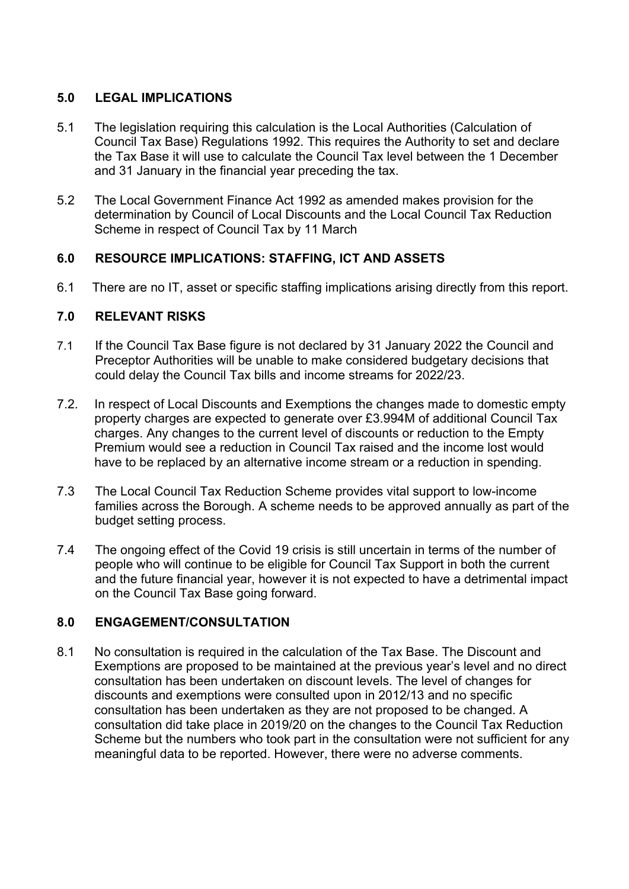### **5.0 LEGAL IMPLICATIONS**

- 5.1 The legislation requiring this calculation is the Local Authorities (Calculation of Council Tax Base) Regulations 1992. This requires the Authority to set and declare the Tax Base it will use to calculate the Council Tax level between the 1 December and 31 January in the financial year preceding the tax.
- 5.2 The Local Government Finance Act 1992 as amended makes provision for the determination by Council of Local Discounts and the Local Council Tax Reduction Scheme in respect of Council Tax by 11 March

### **6.0 RESOURCE IMPLICATIONS: STAFFING, ICT AND ASSETS**

6.1 There are no IT, asset or specific staffing implications arising directly from this report.

### **7.0 RELEVANT RISKS**

- 7.1 If the Council Tax Base figure is not declared by 31 January 2022 the Council and Preceptor Authorities will be unable to make considered budgetary decisions that could delay the Council Tax bills and income streams for 2022/23.
- 7.2. In respect of Local Discounts and Exemptions the changes made to domestic empty property charges are expected to generate over £3.994M of additional Council Tax charges. Any changes to the current level of discounts or reduction to the Empty Premium would see a reduction in Council Tax raised and the income lost would have to be replaced by an alternative income stream or a reduction in spending.
- 7.3 The Local Council Tax Reduction Scheme provides vital support to low-income families across the Borough. A scheme needs to be approved annually as part of the budget setting process.
- 7.4 The ongoing effect of the Covid 19 crisis is still uncertain in terms of the number of people who will continue to be eligible for Council Tax Support in both the current and the future financial year, however it is not expected to have a detrimental impact on the Council Tax Base going forward.

### **8.0 ENGAGEMENT/CONSULTATION**

8.1 No consultation is required in the calculation of the Tax Base. The Discount and Exemptions are proposed to be maintained at the previous year's level and no direct consultation has been undertaken on discount levels. The level of changes for discounts and exemptions were consulted upon in 2012/13 and no specific consultation has been undertaken as they are not proposed to be changed. A consultation did take place in 2019/20 on the changes to the Council Tax Reduction Scheme but the numbers who took part in the consultation were not sufficient for any meaningful data to be reported. However, there were no adverse comments.